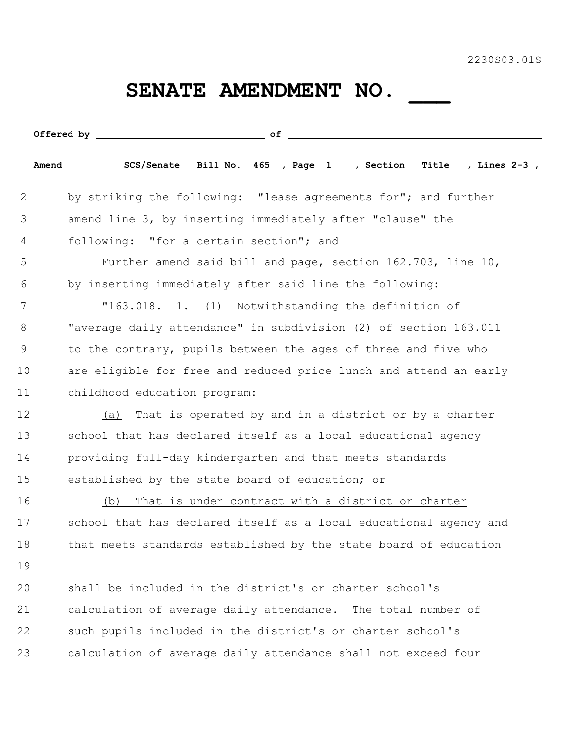2230S03.01S

## SENATE AMENDMENT NO. \_\_\_\_

| 2  | by striking the following: "lease agreements for"; and further    |
|----|-------------------------------------------------------------------|
| 3  | amend line 3, by inserting immediately after "clause" the         |
| 4  | following: "for a certain section"; and                           |
| 5  | Further amend said bill and page, section 162.703, line 10,       |
| 6  | by inserting immediately after said line the following:           |
| 7  | "163.018. 1. (1) Notwithstanding the definition of                |
| 8  | "average daily attendance" in subdivision (2) of section 163.011  |
| 9  | to the contrary, pupils between the ages of three and five who    |
| 10 | are eligible for free and reduced price lunch and attend an early |
| 11 | childhood education program:                                      |
| 12 | That is operated by and in a district or by a charter<br>(a)      |
| 13 | school that has declared itself as a local educational agency     |
| 14 | providing full-day kindergarten and that meets standards          |
| 15 | established by the state board of education; or                   |
| 16 | That is under contract with a district or charter<br>(b)          |
| 17 | school that has declared itself as a local educational agency and |
| 18 | that meets standards established by the state board of education  |
| 19 |                                                                   |
| 20 | shall be included in the district's or charter school's           |
| 21 | calculation of average daily attendance. The total number of      |
| 22 | such pupils included in the district's or charter school's        |
| 23 | calculation of average daily attendance shall not exceed four     |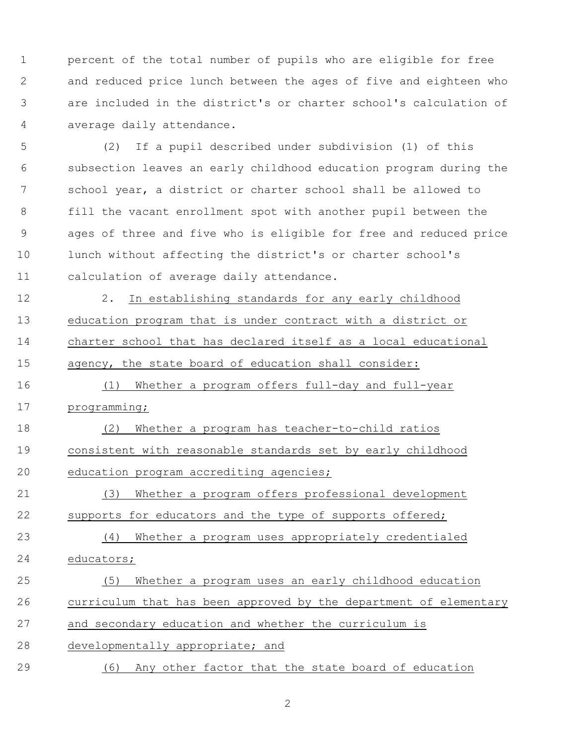percent of the total number of pupils who are eligible for free and reduced price lunch between the ages of five and eighteen who are included in the district's or charter school's calculation of average daily attendance.

 (2) If a pupil described under subdivision (1) of this subsection leaves an early childhood education program during the school year, a district or charter school shall be allowed to fill the vacant enrollment spot with another pupil between the ages of three and five who is eligible for free and reduced price lunch without affecting the district's or charter school's calculation of average daily attendance.

 2. In establishing standards for any early childhood education program that is under contract with a district or charter school that has declared itself as a local educational agency, the state board of education shall consider:

 (1) Whether a program offers full-day and full-year programming;

 (2) Whether a program has teacher-to-child ratios consistent with reasonable standards set by early childhood education program accrediting agencies;

 (3) Whether a program offers professional development 22 supports for educators and the type of supports offered;

 (4) Whether a program uses appropriately credentialed educators;

 (5) Whether a program uses an early childhood education curriculum that has been approved by the department of elementary and secondary education and whether the curriculum is developmentally appropriate; and

(6) Any other factor that the state board of education